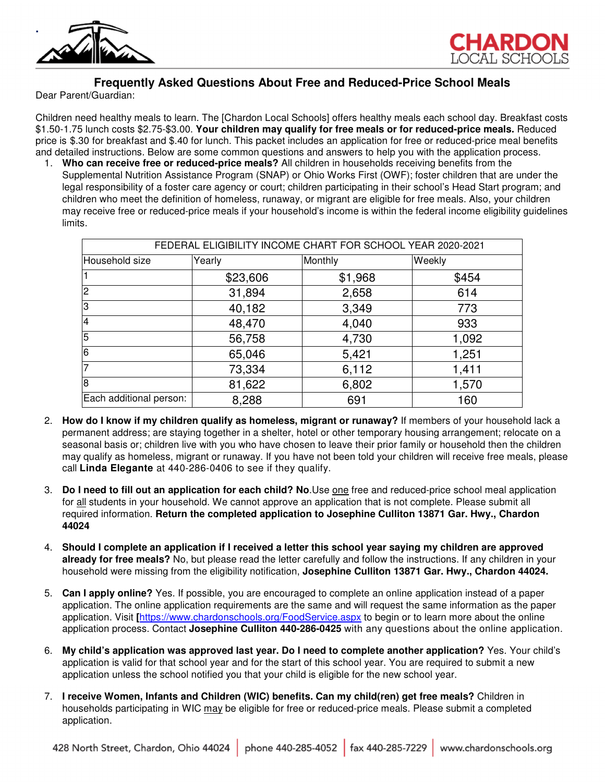



# **Frequently Asked Questions About Free and Reduced-Price School Meals**

Dear Parent/Guardian:

Children need healthy meals to learn. The [Chardon Local Schools] offers healthy meals each school day. Breakfast costs \$1.50-1.75 lunch costs \$2.75-\$3.00. **Your children may qualify for free meals or for reduced-price meals.** Reduced price is \$.30 for breakfast and \$.40 for lunch. This packet includes an application for free or reduced-price meal benefits and detailed instructions. Below are some common questions and answers to help you with the application process.

1. **Who can receive free or reduced-price meals?** All children in households receiving benefits from the Supplemental Nutrition Assistance Program (SNAP) or Ohio Works First (OWF); foster children that are under the legal responsibility of a foster care agency or court; children participating in their school's Head Start program; and children who meet the definition of homeless, runaway, or migrant are eligible for free meals. Also, your children may receive free or reduced-price meals if your household's income is within the federal income eligibility guidelines limits.

| FEDERAL ELIGIBILITY INCOME CHART FOR SCHOOL YEAR 2020-2021 |          |         |        |  |  |  |  |
|------------------------------------------------------------|----------|---------|--------|--|--|--|--|
| Household size                                             | Yearly   | Monthly | Weekly |  |  |  |  |
|                                                            | \$23,606 | \$1,968 | \$454  |  |  |  |  |
| $\overline{2}$                                             | 31,894   | 2,658   | 614    |  |  |  |  |
| 3                                                          | 40,182   | 3,349   | 773    |  |  |  |  |
| $\overline{4}$                                             | 48,470   | 4,040   | 933    |  |  |  |  |
| 5                                                          | 56,758   | 4,730   | 1,092  |  |  |  |  |
| $\overline{6}$                                             | 65,046   | 5,421   | 1,251  |  |  |  |  |
| $\overline{7}$                                             | 73,334   | 6,112   | 1,411  |  |  |  |  |
| 8                                                          | 81,622   | 6,802   | 1,570  |  |  |  |  |
| Each additional person:                                    | 8,288    | 691     | 160    |  |  |  |  |

- 2. **How do I know if my children qualify as homeless, migrant or runaway?** If members of your household lack a permanent address; are staying together in a shelter, hotel or other temporary housing arrangement; relocate on a seasonal basis or; children live with you who have chosen to leave their prior family or household then the children may qualify as homeless, migrant or runaway. If you have not been told your children will receive free meals, please call **Linda Elegante** at 440-286-0406 to see if they qualify.
- 3. **Do I need to fill out an application for each child? No**.Use one free and reduced-price school meal application for all students in your household. We cannot approve an application that is not complete. Please submit all required information. **Return the completed application to Josephine Culliton 13871 Gar. Hwy., Chardon 44024**
- 4. **Should I complete an application if I received a letter this school year saying my children are approved already for free meals?** No, but please read the letter carefully and follow the instructions. If any children in your household were missing from the eligibility notification, **Josephine Culliton 13871 Gar. Hwy., Chardon 44024.**
- 5. **Can I apply online?** Yes. If possible, you are encouraged to complete an online application instead of a paper application. The online application requirements are the same and will request the same information as the paper application. Visit **[**https://www.chardonschools.org/FoodService.aspx to begin or to learn more about the online application process. Contact **Josephine Culliton 440-286-0425** with any questions about the online application.
- 6. **My child's application was approved last year. Do I need to complete another application?** Yes. Your child's application is valid for that school year and for the start of this school year. You are required to submit a new application unless the school notified you that your child is eligible for the new school year.
- 7. **I receive Women, Infants and Children (WIC) benefits. Can my child(ren) get free meals?** Children in households participating in WIC may be eligible for free or reduced-price meals. Please submit a completed application.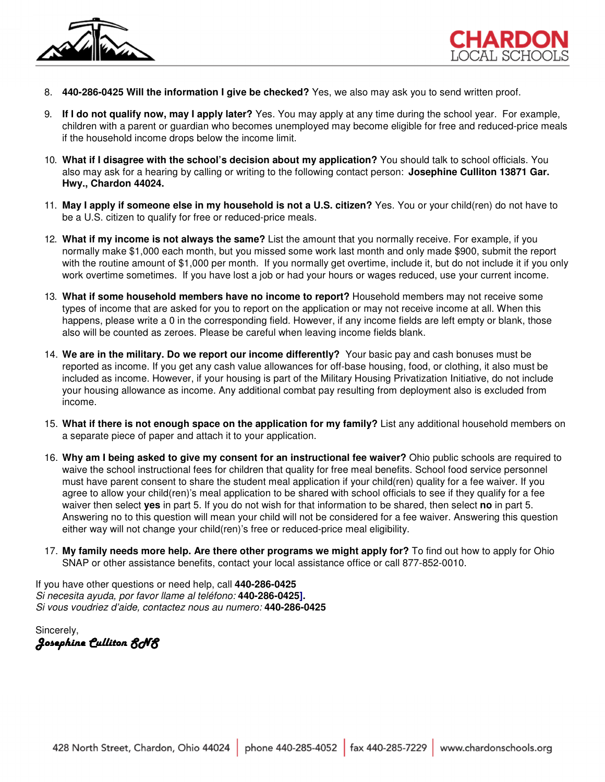



- 8. **440-286-0425 Will the information I give be checked?** Yes, we also may ask you to send written proof.
- 9. **If I do not qualify now, may I apply later?** Yes. You may apply at any time during the school year. For example, children with a parent or guardian who becomes unemployed may become eligible for free and reduced-price meals if the household income drops below the income limit.
- 10. **What if I disagree with the school's decision about my application?** You should talk to school officials. You also may ask for a hearing by calling or writing to the following contact person: **Josephine Culliton 13871 Gar. Hwy., Chardon 44024.**
- 11. **May I apply if someone else in my household is not a U.S. citizen?** Yes. You or your child(ren) do not have to be a U.S. citizen to qualify for free or reduced-price meals.
- 12. **What if my income is not always the same?** List the amount that you normally receive. For example, if you normally make \$1,000 each month, but you missed some work last month and only made \$900, submit the report with the routine amount of \$1,000 per month. If you normally get overtime, include it, but do not include it if you only work overtime sometimes. If you have lost a job or had your hours or wages reduced, use your current income.
- 13. **What if some household members have no income to report?** Household members may not receive some types of income that are asked for you to report on the application or may not receive income at all. When this happens, please write a 0 in the corresponding field. However, if any income fields are left empty or blank, those also will be counted as zeroes. Please be careful when leaving income fields blank.
- 14. **We are in the military. Do we report our income differently?** Your basic pay and cash bonuses must be reported as income. If you get any cash value allowances for off-base housing, food, or clothing, it also must be included as income. However, if your housing is part of the Military Housing Privatization Initiative, do not include your housing allowance as income. Any additional combat pay resulting from deployment also is excluded from income.
- 15. **What if there is not enough space on the application for my family?** List any additional household members on a separate piece of paper and attach it to your application.
- 16. **Why am I being asked to give my consent for an instructional fee waiver?** Ohio public schools are required to waive the school instructional fees for children that quality for free meal benefits. School food service personnel must have parent consent to share the student meal application if your child(ren) quality for a fee waiver. If you agree to allow your child(ren)'s meal application to be shared with school officials to see if they qualify for a fee waiver then select **yes** in part 5. If you do not wish for that information to be shared, then select **no** in part 5. Answering no to this question will mean your child will not be considered for a fee waiver. Answering this question either way will not change your child(ren)'s free or reduced-price meal eligibility.
- 17. **My family needs more help. Are there other programs we might apply for?** To find out how to apply for Ohio SNAP or other assistance benefits, contact your local assistance office or call 877-852-0010.

If you have other questions or need help, call **440-286-0425** Si necesita ayuda, por favor llame al teléfono: **440-286-0425].** Si vous voudriez d'aide, contactez nous au numero: **440-286-0425** 

Sincerely, *Josephine Culliton SNS Josephine SNS*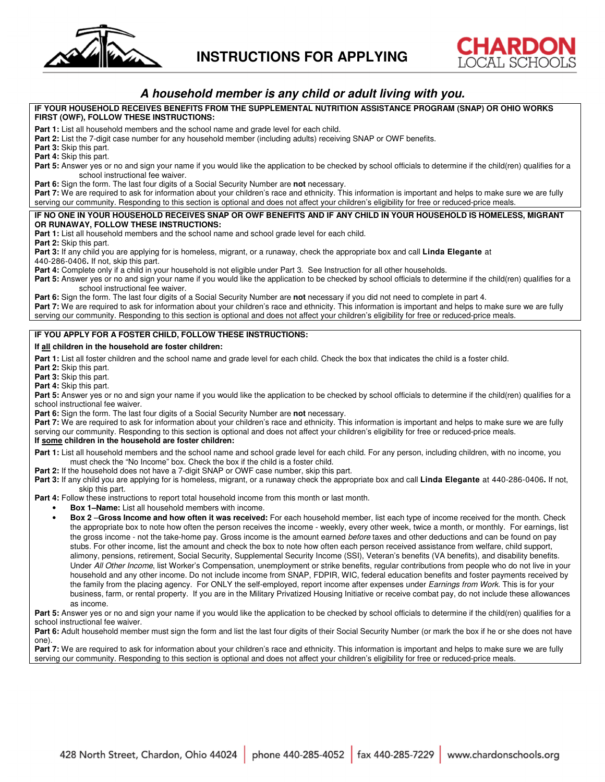



# **A household member is any child or adult living with you.**

### **IF YOUR HOUSEHOLD RECEIVES BENEFITS FROM THE SUPPLEMENTAL NUTRITION ASSISTANCE PROGRAM (SNAP) OR OHIO WORKS FIRST (OWF), FOLLOW THESE INSTRUCTIONS:**

Part 1: List all household members and the school name and grade level for each child.

**Part 2:** List the 7-digit case number for any household member (including adults) receiving SNAP or OWF benefits.

**Part 3:** Skip this part.

**Part 4:** Skip this part.

**Part 5:** Answer yes or no and sign your name if you would like the application to be checked by school officials to determine if the child(ren) qualifies for a school instructional fee waiver.

**Part 6:** Sign the form. The last four digits of a Social Security Number are **not** necessary.

**Part 7:** We are required to ask for information about your children's race and ethnicity. This information is important and helps to make sure we are fully serving our community. Responding to this section is optional and does not affect your children's eligibility for free or reduced-price meals.

### **IF NO ONE IN YOUR HOUSEHOLD RECEIVES SNAP OR OWF BENEFITS AND IF ANY CHILD IN YOUR HOUSEHOLD IS HOMELESS, MIGRANT OR RUNAWAY, FOLLOW THESE INSTRUCTIONS:**

**Part 1:** List all household members and the school name and school grade level for each child.

**Part 2:** Skip this part.

**Part 3:** If any child you are applying for is homeless, migrant, or a runaway, check the appropriate box and call **Linda Elegante** at 440-286-0406**.** If not, skip this part.

Part 4: Complete only if a child in your household is not eligible under Part 3. See Instruction for all other households.

Part 5: Answer yes or no and sign your name if you would like the application to be checked by school officials to determine if the child(ren) qualifies for a school instructional fee waiver.

**Part 6:** Sign the form. The last four digits of a Social Security Number are **not** necessary if you did not need to complete in part 4. **Part 7:** We are required to ask for information about your children's race and ethnicity. This information is important and helps to make sure we are fully

serving our community. Responding to this section is optional and does not affect your children's eligibility for free or reduced-price meals.

### **IF YOU APPLY FOR A FOSTER CHILD, FOLLOW THESE INSTRUCTIONS:**

### **If all children in the household are foster children:**

Part 1: List all foster children and the school name and grade level for each child. Check the box that indicates the child is a foster child.

Part 2: Skip this part.

**Part 3:** Skip this part.

**Part 4:** Skip this part.

Part 5: Answer yes or no and sign your name if you would like the application to be checked by school officials to determine if the child(ren) qualifies for a school instructional fee waiver.

**Part 6:** Sign the form. The last four digits of a Social Security Number are **not** necessary.

**Part 7:** We are required to ask for information about your children's race and ethnicity. This information is important and helps to make sure we are fully serving our community. Responding to this section is optional and does not affect your children's eligibility for free or reduced-price meals.

## **If some children in the household are foster children:**

- **Part 1:** List all household members and the school name and school grade level for each child. For any person, including children, with no income, you must check the "No Income" box. Check the box if the child is a foster child.
- **Part 2:** If the household does not have a 7-digit SNAP or OWF case number, skip this part.

**Part 3:** If any child you are applying for is homeless, migrant, or a runaway check the appropriate box and call **Linda Elegante** at 440-286-0406**.** If not, skip this part.

**Part 4:** Follow these instructions to report total household income from this month or last month.

- **Box 1–Name:** List all household members with income.
- **Box 2** –**Gross Income and how often it was received:** For each household member, list each type of income received for the month. Check the appropriate box to note how often the person receives the income - weekly, every other week, twice a month, or monthly. For earnings, list the gross income - not the take-home pay. Gross income is the amount earned before taxes and other deductions and can be found on pay stubs. For other income, list the amount and check the box to note how often each person received assistance from welfare, child support, alimony, pensions, retirement, Social Security, Supplemental Security Income (SSI), Veteran's benefits (VA benefits), and disability benefits. Under All Other Income, list Worker's Compensation, unemployment or strike benefits, regular contributions from people who do not live in your household and any other income. Do not include income from SNAP, FDPIR, WIC, federal education benefits and foster payments received by the family from the placing agency. For ONLY the self-employed, report income after expenses under Earnings from Work. This is for your business, farm, or rental property. If you are in the Military Privatized Housing Initiative or receive combat pay, do not include these allowances as income.

Part 5: Answer yes or no and sign your name if you would like the application to be checked by school officials to determine if the child(ren) qualifies for a school instructional fee waiver.

Part 6: Adult household member must sign the form and list the last four digits of their Social Security Number (or mark the box if he or she does not have one).

**Part 7:** We are required to ask for information about your children's race and ethnicity. This information is important and helps to make sure we are fully serving our community. Responding to this section is optional and does not affect your children's eligibility for free or reduced-price meals.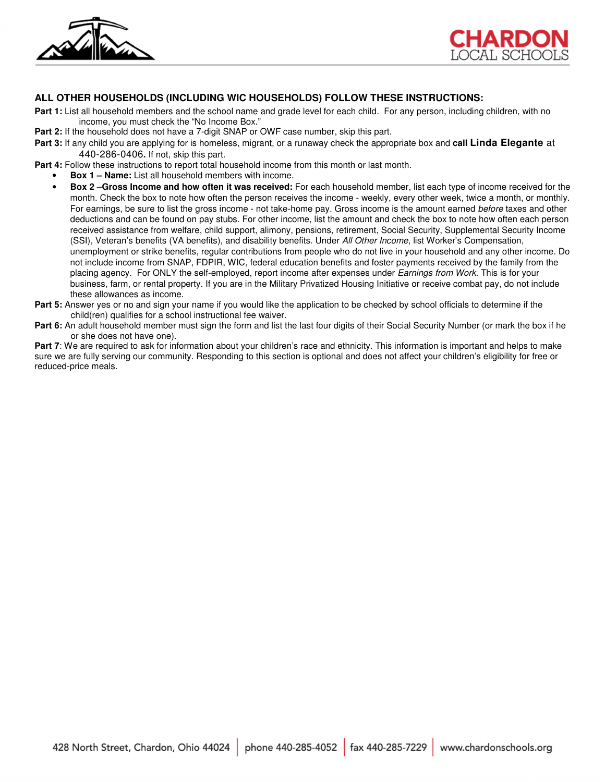



## **ALL OTHER HOUSEHOLDS (INCLUDING WIC HOUSEHOLDS) FOLLOW THESE INSTRUCTIONS:**

- **Part 1:** List all household members and the school name and grade level for each child. For any person, including children, with no income, you must check the "No Income Box."
- **Part 2:** If the household does not have a 7-digit SNAP or OWF case number, skip this part.
- **Part 3:** If any child you are applying for is homeless, migrant, or a runaway check the appropriate box and **call Linda Elegante** at 440-286-0406**.** If not, skip this part.

**Part 4:** Follow these instructions to report total household income from this month or last month.

- **Box 1 Name:** List all household members with income.
- **Box 2** –**Gross Income and how often it was received:** For each household member, list each type of income received for the month. Check the box to note how often the person receives the income - weekly, every other week, twice a month, or monthly. For earnings, be sure to list the gross income - not take-home pay. Gross income is the amount earned before taxes and other deductions and can be found on pay stubs. For other income, list the amount and check the box to note how often each person received assistance from welfare, child support, alimony, pensions, retirement, Social Security, Supplemental Security Income (SSI), Veteran's benefits (VA benefits), and disability benefits. Under All Other Income, list Worker's Compensation, unemployment or strike benefits, regular contributions from people who do not live in your household and any other income. Do not include income from SNAP, FDPIR, WIC, federal education benefits and foster payments received by the family from the placing agency. For ONLY the self-employed, report income after expenses under Earnings from Work. This is for your business, farm, or rental property. If you are in the Military Privatized Housing Initiative or receive combat pay, do not include these allowances as income.
- **Part 5:** Answer yes or no and sign your name if you would like the application to be checked by school officials to determine if the child(ren) qualifies for a school instructional fee waiver.
- **Part 6:** An adult household member must sign the form and list the last four digits of their Social Security Number (or mark the box if he or she does not have one).

**Part 7**: We are required to ask for information about your children's race and ethnicity. This information is important and helps to make sure we are fully serving our community. Responding to this section is optional and does not affect your children's eligibility for free or reduced-price meals.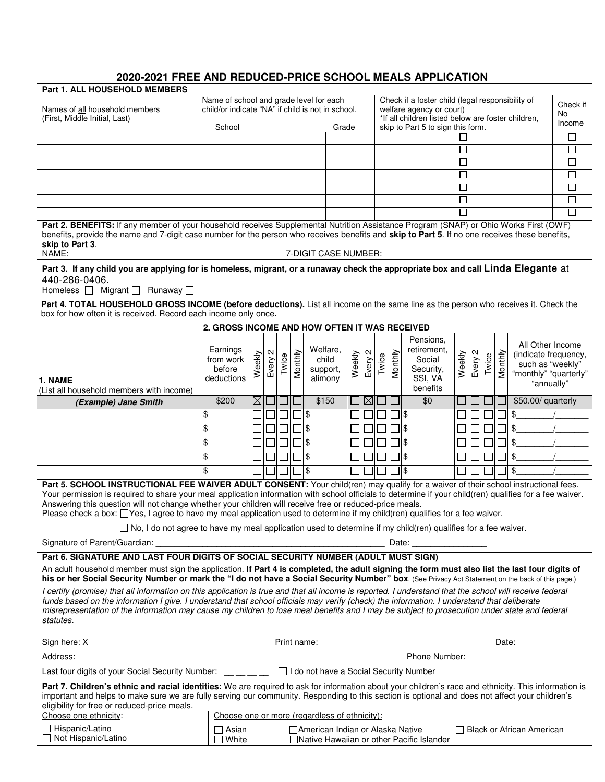# **2020-2021 FREE AND REDUCED-PRICE SCHOOL MEALS APPLICATION**

| Part 1. ALL HOUSEHOLD MEMBERS                                                                                                                                                                                                                                                                                                                                                                                                                                                                                                              |                                                                                                                                                       |             |         |       |         |                                               |        |                                                                                                                                    |       |         |                                                                        |             |         |                 |         |                                                                                                     |             |
|--------------------------------------------------------------------------------------------------------------------------------------------------------------------------------------------------------------------------------------------------------------------------------------------------------------------------------------------------------------------------------------------------------------------------------------------------------------------------------------------------------------------------------------------|-------------------------------------------------------------------------------------------------------------------------------------------------------|-------------|---------|-------|---------|-----------------------------------------------|--------|------------------------------------------------------------------------------------------------------------------------------------|-------|---------|------------------------------------------------------------------------|-------------|---------|-----------------|---------|-----------------------------------------------------------------------------------------------------|-------------|
| Names of all household members<br>(First, Middle Initial, Last)                                                                                                                                                                                                                                                                                                                                                                                                                                                                            | Name of school and grade level for each<br>child/or indicate "NA" if child is not in school.                                                          |             |         |       |         |                                               |        | Check if a foster child (legal responsibility of<br>welfare agency or court)<br>*If all children listed below are foster children, |       |         |                                                                        |             |         | Check if<br>No. |         |                                                                                                     |             |
|                                                                                                                                                                                                                                                                                                                                                                                                                                                                                                                                            | School                                                                                                                                                |             |         |       |         | Grade                                         |        |                                                                                                                                    |       |         | skip to Part 5 to sign this form.                                      |             |         |                 |         |                                                                                                     | Income      |
|                                                                                                                                                                                                                                                                                                                                                                                                                                                                                                                                            |                                                                                                                                                       |             |         |       |         |                                               |        |                                                                                                                                    |       |         |                                                                        |             |         |                 |         |                                                                                                     | $\Box$      |
|                                                                                                                                                                                                                                                                                                                                                                                                                                                                                                                                            |                                                                                                                                                       |             |         |       |         |                                               |        |                                                                                                                                    |       |         |                                                                        | $\sqcup$    |         |                 |         |                                                                                                     | □           |
|                                                                                                                                                                                                                                                                                                                                                                                                                                                                                                                                            |                                                                                                                                                       |             |         |       |         |                                               |        |                                                                                                                                    |       |         |                                                                        | ப           |         |                 |         |                                                                                                     | $\Box$<br>П |
|                                                                                                                                                                                                                                                                                                                                                                                                                                                                                                                                            |                                                                                                                                                       |             |         |       |         |                                               |        |                                                                                                                                    |       |         |                                                                        | П<br>$\Box$ |         |                 |         |                                                                                                     | □           |
|                                                                                                                                                                                                                                                                                                                                                                                                                                                                                                                                            |                                                                                                                                                       |             |         |       |         |                                               |        |                                                                                                                                    |       |         |                                                                        |             |         |                 |         |                                                                                                     | □           |
|                                                                                                                                                                                                                                                                                                                                                                                                                                                                                                                                            |                                                                                                                                                       |             |         |       |         |                                               |        |                                                                                                                                    |       |         |                                                                        |             |         |                 |         |                                                                                                     | $\Box$      |
| Part 2. BENEFITS: If any member of your household receives Supplemental Nutrition Assistance Program (SNAP) or Ohio Works First (OWF)<br>benefits, provide the name and 7-digit case number for the person who receives benefits and skip to Part 5. If no one receives these benefits,<br>skip to Part 3.<br>NAME:<br>7-DIGIT CASE NUMBER:                                                                                                                                                                                                |                                                                                                                                                       |             |         |       |         |                                               |        |                                                                                                                                    |       |         |                                                                        |             |         |                 |         |                                                                                                     |             |
| Part 3. If any child you are applying for is homeless, migrant, or a runaway check the appropriate box and call Linda Elegante at<br>440-286-0406.<br>Homeless □ Migrant □ Runaway □                                                                                                                                                                                                                                                                                                                                                       |                                                                                                                                                       |             |         |       |         |                                               |        |                                                                                                                                    |       |         |                                                                        |             |         |                 |         |                                                                                                     |             |
| Part 4. TOTAL HOUSEHOLD GROSS INCOME (before deductions). List all income on the same line as the person who receives it. Check the<br>box for how often it is received. Record each income only once.                                                                                                                                                                                                                                                                                                                                     |                                                                                                                                                       |             |         |       |         |                                               |        |                                                                                                                                    |       |         |                                                                        |             |         |                 |         |                                                                                                     |             |
|                                                                                                                                                                                                                                                                                                                                                                                                                                                                                                                                            | 2. GROSS INCOME AND HOW OFTEN IT WAS RECEIVED                                                                                                         |             |         |       |         |                                               |        |                                                                                                                                    |       |         |                                                                        |             |         |                 |         |                                                                                                     |             |
| 1. NAME<br>(List all household members with income)                                                                                                                                                                                                                                                                                                                                                                                                                                                                                        | Earnings<br>from work<br>before<br>deductions                                                                                                         | eekly<br>Š. | Every 2 | Twice | Monthly | Welfare,<br>child<br>support,<br>alimony      | Weekly | $\mathbf{a}$<br>Every:                                                                                                             | Twice | Monthly | Pensions,<br>retirement,<br>Social<br>Security,<br>SSI, VA<br>benefits | Weekly      | Every 2 | Twice           | Monthly | All Other Income<br>(indicate frequency,<br>such as "weekly"<br>"monthly" "quarterly"<br>"annually" |             |
| (Example) Jane Smith                                                                                                                                                                                                                                                                                                                                                                                                                                                                                                                       | \$200                                                                                                                                                 |             | ⊠⊡∣     |       |         | \$150                                         |        |                                                                                                                                    | ⊠□    |         | \$0                                                                    |             |         |                 |         | \$50.00/ quarterly                                                                                  |             |
|                                                                                                                                                                                                                                                                                                                                                                                                                                                                                                                                            | \$                                                                                                                                                    |             |         |       | $\Box$  |                                               |        |                                                                                                                                    |       |         | 1۱\$                                                                   |             |         |                 |         | \$                                                                                                  |             |
|                                                                                                                                                                                                                                                                                                                                                                                                                                                                                                                                            | \$                                                                                                                                                    |             |         |       |         | \$                                            |        |                                                                                                                                    |       |         | \$                                                                     |             |         |                 |         | \$                                                                                                  |             |
|                                                                                                                                                                                                                                                                                                                                                                                                                                                                                                                                            |                                                                                                                                                       |             |         |       |         | ∥\$                                           |        |                                                                                                                                    |       |         | ] \$                                                                   |             |         |                 |         | $\frac{1}{2}$                                                                                       |             |
|                                                                                                                                                                                                                                                                                                                                                                                                                                                                                                                                            | \$                                                                                                                                                    |             |         |       |         |                                               |        |                                                                                                                                    |       |         |                                                                        |             |         |                 |         |                                                                                                     |             |
|                                                                                                                                                                                                                                                                                                                                                                                                                                                                                                                                            | \$                                                                                                                                                    |             |         |       |         | \$                                            |        |                                                                                                                                    |       |         | l\$                                                                    |             |         |                 |         | \$                                                                                                  |             |
|                                                                                                                                                                                                                                                                                                                                                                                                                                                                                                                                            | \$                                                                                                                                                    |             |         |       |         | ∥\$                                           |        |                                                                                                                                    |       |         | ۱\$                                                                    |             |         |                 |         | \$                                                                                                  |             |
| Part 5. SCHOOL INSTRUCTIONAL FEE WAIVER ADULT CONSENT: Your child(ren) may qualify for a waiver of their school instructional fees.<br>Your permission is required to share your meal application information with school officials to determine if your child(ren) qualifies for a fee waiver.<br>Answering this question will not change whether your children will receive free or reduced-price meals.<br>Please check a box: □Yes, I agree to have my meal application used to determine if my child(ren) qualifies for a fee waiver. |                                                                                                                                                       |             |         |       |         |                                               |        |                                                                                                                                    |       |         |                                                                        |             |         |                 |         |                                                                                                     |             |
| □ No, I do not agree to have my meal application used to determine if my child(ren) qualifies for a fee waiver.                                                                                                                                                                                                                                                                                                                                                                                                                            |                                                                                                                                                       |             |         |       |         |                                               |        |                                                                                                                                    |       |         |                                                                        |             |         |                 |         |                                                                                                     |             |
|                                                                                                                                                                                                                                                                                                                                                                                                                                                                                                                                            |                                                                                                                                                       |             |         |       |         |                                               |        |                                                                                                                                    |       |         |                                                                        |             |         |                 |         |                                                                                                     |             |
| Part 6. SIGNATURE AND LAST FOUR DIGITS OF SOCIAL SECURITY NUMBER (ADULT MUST SIGN)                                                                                                                                                                                                                                                                                                                                                                                                                                                         |                                                                                                                                                       |             |         |       |         |                                               |        |                                                                                                                                    |       |         |                                                                        |             |         |                 |         |                                                                                                     |             |
| An adult household member must sign the application. If Part 4 is completed, the adult signing the form must also list the last four digits of<br>his or her Social Security Number or mark the "I do not have a Social Security Number" box. (See Privacy Act Statement on the back of this page.)                                                                                                                                                                                                                                        |                                                                                                                                                       |             |         |       |         |                                               |        |                                                                                                                                    |       |         |                                                                        |             |         |                 |         |                                                                                                     |             |
| I certify (promise) that all information on this application is true and that all income is reported. I understand that the school will receive federal<br>funds based on the information I give. I understand that school officials may verify (check) the information. I understand that deliberate<br>misrepresentation of the information may cause my children to lose meal benefits and I may be subject to prosecution under state and federal<br>statutes.                                                                         |                                                                                                                                                       |             |         |       |         |                                               |        |                                                                                                                                    |       |         |                                                                        |             |         |                 |         |                                                                                                     |             |
|                                                                                                                                                                                                                                                                                                                                                                                                                                                                                                                                            |                                                                                                                                                       |             |         |       |         |                                               |        |                                                                                                                                    |       |         |                                                                        |             |         |                 |         |                                                                                                     |             |
| Phone Number:                                                                                                                                                                                                                                                                                                                                                                                                                                                                                                                              |                                                                                                                                                       |             |         |       |         |                                               |        |                                                                                                                                    |       |         |                                                                        |             |         |                 |         |                                                                                                     |             |
| Last four digits of your Social Security Number: □ □ 1 do not have a Social Security Number                                                                                                                                                                                                                                                                                                                                                                                                                                                |                                                                                                                                                       |             |         |       |         |                                               |        |                                                                                                                                    |       |         |                                                                        |             |         |                 |         |                                                                                                     |             |
| Part 7. Children's ethnic and racial identities: We are required to ask for information about your children's race and ethnicity. This information is<br>important and helps to make sure we are fully serving our community. Responding to this section is optional and does not affect your children's<br>eligibility for free or reduced-price meals.                                                                                                                                                                                   |                                                                                                                                                       |             |         |       |         |                                               |        |                                                                                                                                    |       |         |                                                                        |             |         |                 |         |                                                                                                     |             |
| Choose one ethnicity:                                                                                                                                                                                                                                                                                                                                                                                                                                                                                                                      |                                                                                                                                                       |             |         |       |         | Choose one or more (regardless of ethnicity): |        |                                                                                                                                    |       |         |                                                                        |             |         |                 |         |                                                                                                     |             |
| □ Hispanic/Latino<br>□ Not Hispanic/Latino                                                                                                                                                                                                                                                                                                                                                                                                                                                                                                 | $\Box$ Asian<br>$\Box$ Black or African American<br>  American Indian or Alaska Native<br>$\Box$ White<br>□ Native Hawaiian or other Pacific Islander |             |         |       |         |                                               |        |                                                                                                                                    |       |         |                                                                        |             |         |                 |         |                                                                                                     |             |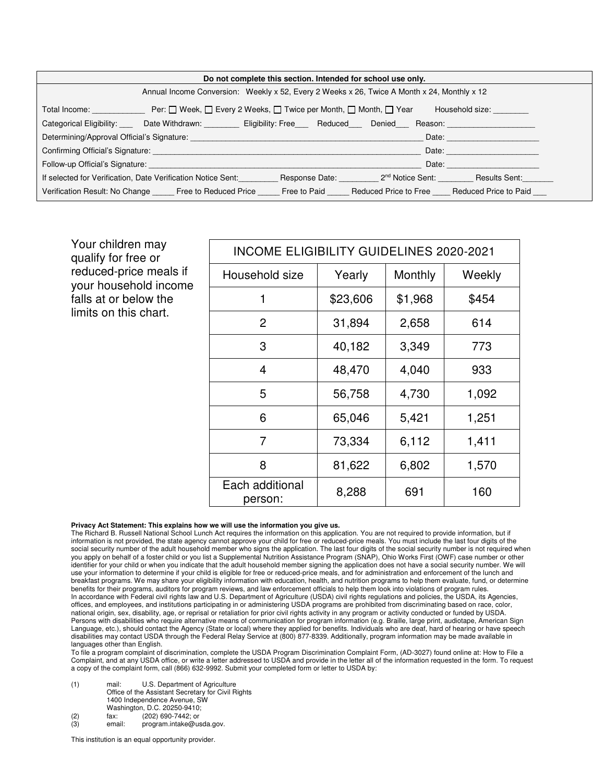| Do not complete this section. Intended for school use only.                                                   |                                                                                                                                                                                                                                |  |  |                                                           |                    |  |  |
|---------------------------------------------------------------------------------------------------------------|--------------------------------------------------------------------------------------------------------------------------------------------------------------------------------------------------------------------------------|--|--|-----------------------------------------------------------|--------------------|--|--|
| Annual Income Conversion: Weekly x 52, Every 2 Weeks x 26, Twice A Month x 24, Monthly x 12                   |                                                                                                                                                                                                                                |  |  |                                                           |                    |  |  |
|                                                                                                               | Total Income: Total Income: Per: □ Week, □ Every 2 Weeks, □ Twice per Month, □ Month, □ Year                                                                                                                                   |  |  |                                                           | Household size:    |  |  |
|                                                                                                               | Categorical Eligibility: Cate Withdrawn: Cligibility: Free Reduced Denied Reason:                                                                                                                                              |  |  |                                                           |                    |  |  |
| Date: <b>Date:</b>                                                                                            |                                                                                                                                                                                                                                |  |  |                                                           |                    |  |  |
|                                                                                                               | Confirming Official's Signature: <b>Example 2018</b>                                                                                                                                                                           |  |  |                                                           | Date: <b>Date:</b> |  |  |
|                                                                                                               | Follow-up Official's Signature: The Contract of the Contract of the Contract of the Contract of the Contract of the Contract of the Contract of the Contract of the Contract of the Contract of the Contract of the Contract o |  |  | Date:                                                     |                    |  |  |
|                                                                                                               | If selected for Verification, Date Verification Notice Sent:                                                                                                                                                                   |  |  | Response Date: 2 <sup>nd</sup> Notice Sent: Results Sent: |                    |  |  |
| Verification Result: No Change Free to Reduced Price Free to Paid Reduced Price to Free Reduced Price to Paid |                                                                                                                                                                                                                                |  |  |                                                           |                    |  |  |
|                                                                                                               |                                                                                                                                                                                                                                |  |  |                                                           |                    |  |  |

Your children may qualify for free or reduced-price meals if your household income falls at or below the limits on this chart.

| <b>INCOME ELIGIBILITY GUIDELINES 2020-2021</b> |          |         |        |  |  |  |  |  |
|------------------------------------------------|----------|---------|--------|--|--|--|--|--|
| Household size                                 | Yearly   | Monthly | Weekly |  |  |  |  |  |
| 1                                              | \$23,606 | \$1,968 | \$454  |  |  |  |  |  |
| 2                                              | 31,894   | 2,658   | 614    |  |  |  |  |  |
| 3                                              | 40,182   | 3,349   | 773    |  |  |  |  |  |
| 4                                              | 48,470   | 4,040   | 933    |  |  |  |  |  |
| 5                                              | 56,758   | 4,730   | 1,092  |  |  |  |  |  |
| 6                                              | 65,046   | 5,421   | 1,251  |  |  |  |  |  |
| $\overline{7}$                                 | 73,334   | 6,112   | 1,411  |  |  |  |  |  |
| 8                                              | 81,622   | 6,802   | 1,570  |  |  |  |  |  |
| Each additional<br>person:                     | 8,288    | 691     | 160    |  |  |  |  |  |

### **Privacy Act Statement: This explains how we will use the information you give us.**

The Richard B. Russell National School Lunch Act requires the information on this application. You are not required to provide information, but if information is not provided, the state agency cannot approve your child for free or reduced-price meals. You must include the last four digits of the social security number of the adult household member who signs the application. The last four digits of the social security number is not required when you apply on behalf of a foster child or you list a Supplemental Nutrition Assistance Program (SNAP), Ohio Works First (OWF) case number or other identifier for your child or when you indicate that the adult household member signing the application does not have a social security number. We will use your information to determine if your child is eligible for free or reduced-price meals, and for administration and enforcement of the lunch and breakfast programs. We may share your eligibility information with education, health, and nutrition programs to help them evaluate, fund, or determine benefits for their programs, auditors for program reviews, and law enforcement officials to help them look into violations of program rules. In accordance with Federal civil rights law and U.S. Department of Agriculture (USDA) civil rights regulations and policies, the USDA, its Agencies, offices, and employees, and institutions participating in or administering USDA programs are prohibited from discriminating based on race, color, national origin, sex, disability, age, or reprisal or retaliation for prior civil rights activity in any program or activity conducted or funded by USDA. Persons with disabilities who require alternative means of communication for program information (e.g. Braille, large print, audiotape, American Sign Language, etc.), should contact the Agency (State or local) where they applied for benefits. Individuals who are deaf, hard of hearing or have speech disabilities may contact USDA through the Federal Relay Service at (800) 877-8339. Additionally, program information may be made available in languages other than English.

To file a program complaint of discrimination, complete the USDA Program Discrimination Complaint Form, (AD-3027) found online at: How to File a Complaint, and at any USDA office, or write a letter addressed to USDA and provide in the letter all of the information requested in the form. To request a copy of the complaint form, call (866) 632-9992. Submit your completed form or letter to USDA by:

- (1) mail: U.S. Department of Agriculture Office of the Assistant Secretary for Civil Rights 1400 Independence Avenue, SW
	- Washington, D.C. 20250-9410;<br>fax: (202) 690-7442: or
- (2) fax: (202) 690-7442; or
- program.intake@usda.gov.

This institution is an equal opportunity provider.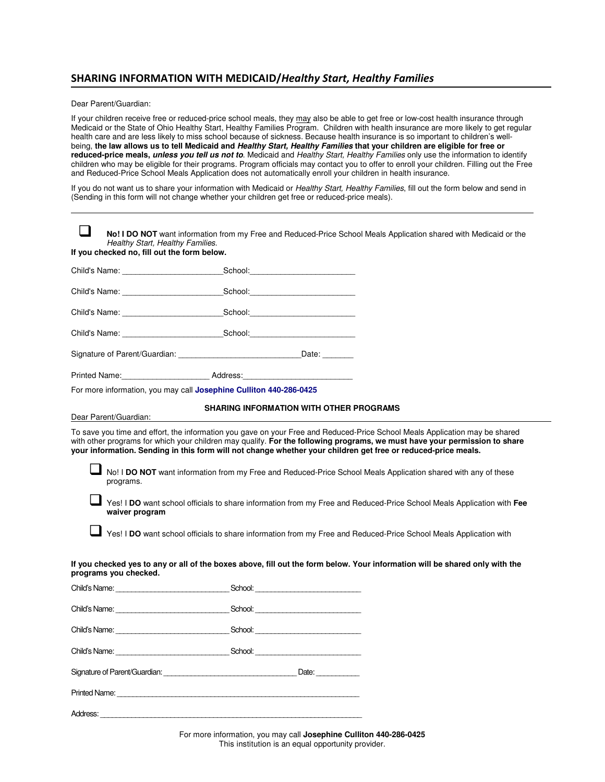# **SHARING INFORMATION WITH MEDICAID/***Healthy Start, Healthy Families*

Dear Parent/Guardian:

If your children receive free or reduced-price school meals, they may also be able to get free or low-cost health insurance through Medicaid or the State of Ohio Healthy Start, Healthy Families Program. Children with health insurance are more likely to get regular health care and are less likely to miss school because of sickness. Because health insurance is so important to children's wellbeing, **the law allows us to tell Medicaid and Healthy Start, Healthy Families that your children are eligible for free or reduced-price meals, unless you tell us not to**. Medicaid and Healthy Start, Healthy Families only use the information to identify children who may be eligible for their programs. Program officials may contact you to offer to enroll your children. Filling out the Free and Reduced-Price School Meals Application does not automatically enroll your children in health insurance.

If you do not want us to share your information with Medicaid or Healthy Start, Healthy Families, fill out the form below and send in (Sending in this form will not change whether your children get free or reduced-price meals).

| Healthy Start, Healthy Families.                                                 |                                                | No! I DO NOT want information from my Free and Reduced-Price School Meals Application shared with Medicaid or the                                                                                                                                                                                                                                                                                                                                                                           |
|----------------------------------------------------------------------------------|------------------------------------------------|---------------------------------------------------------------------------------------------------------------------------------------------------------------------------------------------------------------------------------------------------------------------------------------------------------------------------------------------------------------------------------------------------------------------------------------------------------------------------------------------|
| If you checked no, fill out the form below.                                      |                                                |                                                                                                                                                                                                                                                                                                                                                                                                                                                                                             |
|                                                                                  |                                                |                                                                                                                                                                                                                                                                                                                                                                                                                                                                                             |
| Child's Name: School: School:                                                    |                                                |                                                                                                                                                                                                                                                                                                                                                                                                                                                                                             |
|                                                                                  |                                                |                                                                                                                                                                                                                                                                                                                                                                                                                                                                                             |
| Child's Name: School: School:                                                    |                                                |                                                                                                                                                                                                                                                                                                                                                                                                                                                                                             |
| Signature of Parent/Guardian: ___________________________________Date: _________ |                                                |                                                                                                                                                                                                                                                                                                                                                                                                                                                                                             |
| Printed Name: Address:                                                           |                                                |                                                                                                                                                                                                                                                                                                                                                                                                                                                                                             |
| For more information, you may call Josephine Culliton 440-286-0425               |                                                |                                                                                                                                                                                                                                                                                                                                                                                                                                                                                             |
| Dear Parent/Guardian:                                                            | <b>SHARING INFORMATION WITH OTHER PROGRAMS</b> |                                                                                                                                                                                                                                                                                                                                                                                                                                                                                             |
| programs.<br>waiver program<br>programs you checked.                             |                                                | No! I DO NOT want information from my Free and Reduced-Price School Meals Application shared with any of these<br>Yes! I DO want school officials to share information from my Free and Reduced-Price School Meals Application with Fee<br>Yes! I DO want school officials to share information from my Free and Reduced-Price School Meals Application with<br>If you checked yes to any or all of the boxes above, fill out the form below. Your information will be shared only with the |
| Child's Name: School: School:                                                    |                                                |                                                                                                                                                                                                                                                                                                                                                                                                                                                                                             |
|                                                                                  |                                                |                                                                                                                                                                                                                                                                                                                                                                                                                                                                                             |
|                                                                                  |                                                |                                                                                                                                                                                                                                                                                                                                                                                                                                                                                             |
|                                                                                  |                                                |                                                                                                                                                                                                                                                                                                                                                                                                                                                                                             |
|                                                                                  |                                                |                                                                                                                                                                                                                                                                                                                                                                                                                                                                                             |
|                                                                                  |                                                |                                                                                                                                                                                                                                                                                                                                                                                                                                                                                             |
|                                                                                  |                                                |                                                                                                                                                                                                                                                                                                                                                                                                                                                                                             |

For more information, you may call **Josephine Culliton 440-286-0425**  This institution is an equal opportunity provider.